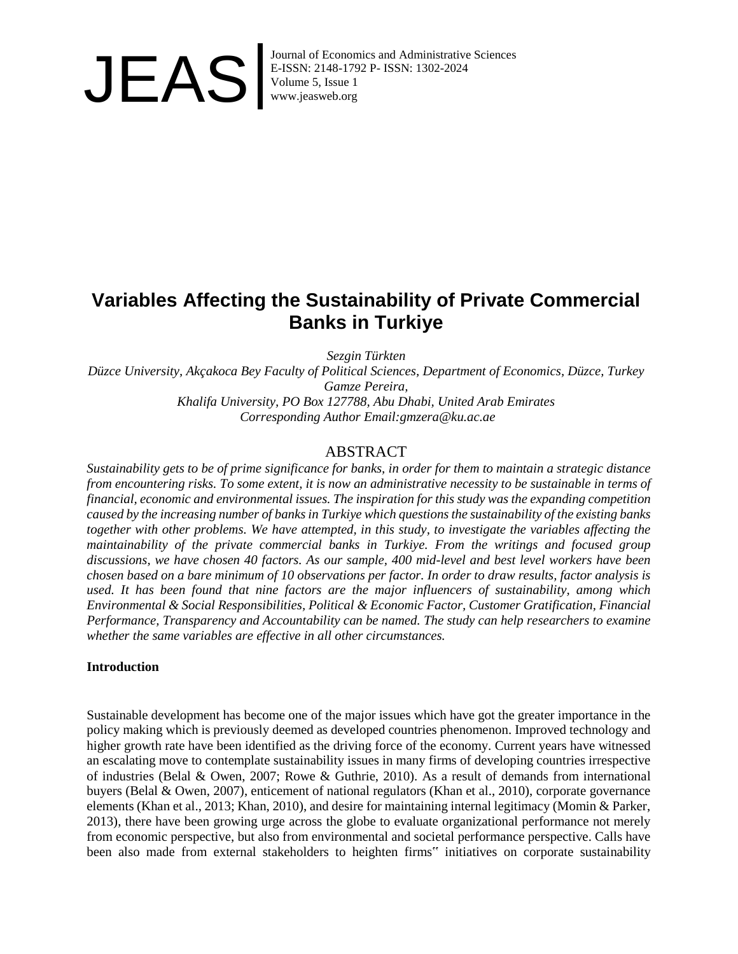

## **Variables Affecting the Sustainability of Private Commercial Banks in Turkiye**

*Sezgin Türkten*

*Düzce University, Akçakoca Bey Faculty of Political Sciences, Department of Economics, Düzce, Turkey Gamze Pereira, Khalifa University, PO Box 127788, Abu Dhabi, United Arab Emirates Corresponding Author Email:gmzera@ku.ac.ae*

### ABSTRACT

*Sustainability gets to be of prime significance for banks, in order for them to maintain a strategic distance from encountering risks. To some extent, it is now an administrative necessity to be sustainable in terms of financial, economic and environmental issues. The inspiration for this study was the expanding competition caused by the increasing number of banks in Turkiye which questions the sustainability of the existing banks together with other problems. We have attempted, in this study, to investigate the variables affecting the maintainability of the private commercial banks in Turkiye. From the writings and focused group discussions, we have chosen 40 factors. As our sample, 400 mid-level and best level workers have been chosen based on a bare minimum of 10 observations per factor. In order to draw results, factor analysis is used. It has been found that nine factors are the major influencers of sustainability, among which Environmental & Social Responsibilities, Political & Economic Factor, Customer Gratification, Financial Performance, Transparency and Accountability can be named. The study can help researchers to examine whether the same variables are effective in all other circumstances.*

#### **Introduction**

Sustainable development has become one of the major issues which have got the greater importance in the policy making which is previously deemed as developed countries phenomenon. Improved technology and higher growth rate have been identified as the driving force of the economy. Current years have witnessed an escalating move to contemplate sustainability issues in many firms of developing countries irrespective of industries (Belal & Owen, 2007; Rowe & Guthrie, 2010). As a result of demands from international buyers (Belal & Owen, 2007), enticement of national regulators (Khan et al., 2010), corporate governance elements (Khan et al., 2013; Khan, 2010), and desire for maintaining internal legitimacy (Momin & Parker, 2013), there have been growing urge across the globe to evaluate organizational performance not merely from economic perspective, but also from environmental and societal performance perspective. Calls have been also made from external stakeholders to heighten firms" initiatives on corporate sustainability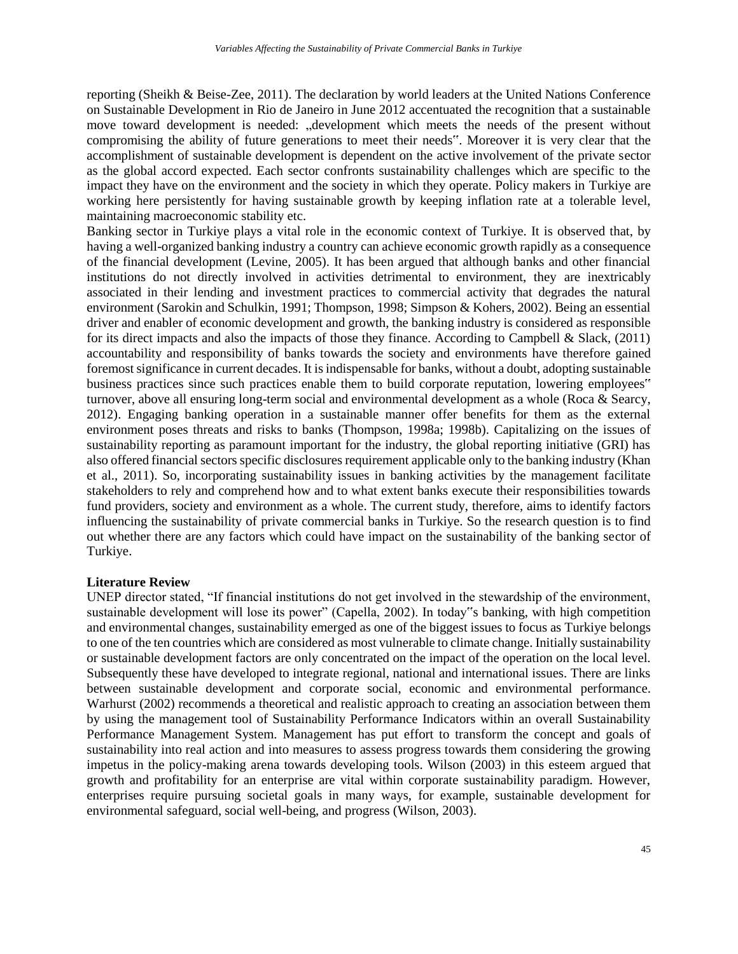reporting (Sheikh & Beise-Zee, 2011). The declaration by world leaders at the United Nations Conference on Sustainable Development in Rio de Janeiro in June 2012 accentuated the recognition that a sustainable move toward development is needed: "development which meets the needs of the present without compromising the ability of future generations to meet their needs". Moreover it is very clear that the accomplishment of sustainable development is dependent on the active involvement of the private sector as the global accord expected. Each sector confronts sustainability challenges which are specific to the impact they have on the environment and the society in which they operate. Policy makers in Turkiye are working here persistently for having sustainable growth by keeping inflation rate at a tolerable level, maintaining macroeconomic stability etc.

Banking sector in Turkiye plays a vital role in the economic context of Turkiye. It is observed that, by having a well-organized banking industry a country can achieve economic growth rapidly as a consequence of the financial development (Levine, 2005). It has been argued that although banks and other financial institutions do not directly involved in activities detrimental to environment, they are inextricably associated in their lending and investment practices to commercial activity that degrades the natural environment (Sarokin and Schulkin, 1991; Thompson, 1998; Simpson & Kohers, 2002). Being an essential driver and enabler of economic development and growth, the banking industry is considered as responsible for its direct impacts and also the impacts of those they finance. According to Campbell & Slack, (2011) accountability and responsibility of banks towards the society and environments have therefore gained foremost significance in current decades. It is indispensable for banks, without a doubt, adopting sustainable business practices since such practices enable them to build corporate reputation, lowering employees" turnover, above all ensuring long-term social and environmental development as a whole (Roca & Searcy, 2012). Engaging banking operation in a sustainable manner offer benefits for them as the external environment poses threats and risks to banks (Thompson, 1998a; 1998b). Capitalizing on the issues of sustainability reporting as paramount important for the industry, the global reporting initiative (GRI) has also offered financial sectors specific disclosures requirement applicable only to the banking industry (Khan et al., 2011). So, incorporating sustainability issues in banking activities by the management facilitate stakeholders to rely and comprehend how and to what extent banks execute their responsibilities towards fund providers, society and environment as a whole. The current study, therefore, aims to identify factors influencing the sustainability of private commercial banks in Turkiye. So the research question is to find out whether there are any factors which could have impact on the sustainability of the banking sector of Turkiye.

#### **Literature Review**

UNEP director stated, "If financial institutions do not get involved in the stewardship of the environment, sustainable development will lose its power" (Capella, 2002). In today"s banking, with high competition and environmental changes, sustainability emerged as one of the biggest issues to focus as Turkiye belongs to one of the ten countries which are considered as most vulnerable to climate change. Initially sustainability or sustainable development factors are only concentrated on the impact of the operation on the local level. Subsequently these have developed to integrate regional, national and international issues. There are links between sustainable development and corporate social, economic and environmental performance. Warhurst (2002) recommends a theoretical and realistic approach to creating an association between them by using the management tool of Sustainability Performance Indicators within an overall Sustainability Performance Management System. Management has put effort to transform the concept and goals of sustainability into real action and into measures to assess progress towards them considering the growing impetus in the policy-making arena towards developing tools. Wilson (2003) in this esteem argued that growth and profitability for an enterprise are vital within corporate sustainability paradigm. However, enterprises require pursuing societal goals in many ways, for example, sustainable development for environmental safeguard, social well-being, and progress (Wilson, 2003).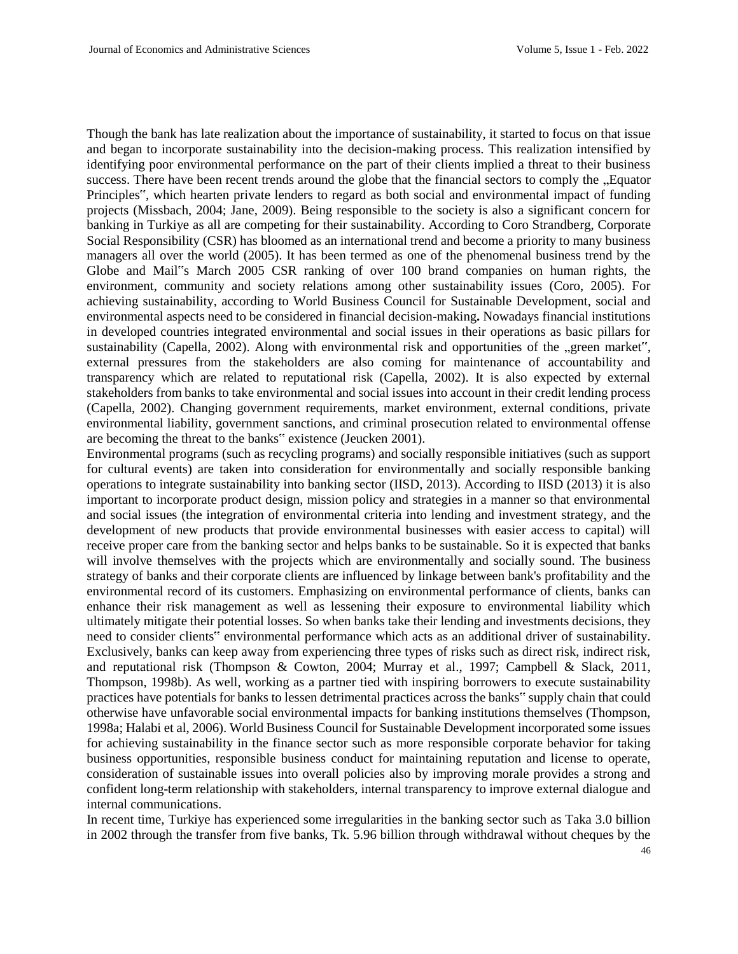Though the bank has late realization about the importance of sustainability, it started to focus on that issue and began to incorporate sustainability into the decision-making process. This realization intensified by identifying poor environmental performance on the part of their clients implied a threat to their business success. There have been recent trends around the globe that the financial sectors to comply the "Equator Principles", which hearten private lenders to regard as both social and environmental impact of funding projects (Missbach, 2004; Jane, 2009). Being responsible to the society is also a significant concern for banking in Turkiye as all are competing for their sustainability. According to Coro Strandberg, Corporate Social Responsibility (CSR) has bloomed as an international trend and become a priority to many business managers all over the world (2005). It has been termed as one of the phenomenal business trend by the Globe and Mail"s March 2005 CSR ranking of over 100 brand companies on human rights, the environment, community and society relations among other sustainability issues (Coro, 2005). For achieving sustainability, according to World Business Council for Sustainable Development, social and environmental aspects need to be considered in financial decision-making**.** Nowadays financial institutions in developed countries integrated environmental and social issues in their operations as basic pillars for sustainability (Capella, 2002). Along with environmental risk and opportunities of the "green market", external pressures from the stakeholders are also coming for maintenance of accountability and transparency which are related to reputational risk (Capella, 2002). It is also expected by external stakeholders from banks to take environmental and social issues into account in their credit lending process (Capella, 2002). Changing government requirements, market environment, external conditions, private environmental liability, government sanctions, and criminal prosecution related to environmental offense are becoming the threat to the banks" existence (Jeucken 2001).

Environmental programs (such as recycling programs) and socially responsible initiatives (such as support for cultural events) are taken into consideration for environmentally and socially responsible banking operations to integrate sustainability into banking sector (IISD, 2013). According to IISD (2013) it is also important to incorporate product design, mission policy and strategies in a manner so that environmental and social issues (the integration of environmental criteria into lending and investment strategy, and the development of new products that provide environmental businesses with easier access to capital) will receive proper care from the banking sector and helps banks to be sustainable. So it is expected that banks will involve themselves with the projects which are environmentally and socially sound. The business strategy of banks and their corporate clients are influenced by linkage between bank's profitability and the environmental record of its customers. Emphasizing on environmental performance of clients, banks can enhance their risk management as well as lessening their exposure to environmental liability which ultimately mitigate their potential losses. So when banks take their lending and investments decisions, they need to consider clients" environmental performance which acts as an additional driver of sustainability. Exclusively, banks can keep away from experiencing three types of risks such as direct risk, indirect risk, and reputational risk (Thompson & Cowton, 2004; Murray et al., 1997; Campbell & Slack, 2011, Thompson, 1998b). As well, working as a partner tied with inspiring borrowers to execute sustainability practices have potentials for banks to lessen detrimental practices across the banks" supply chain that could otherwise have unfavorable social environmental impacts for banking institutions themselves (Thompson, 1998a; Halabi et al, 2006). World Business Council for Sustainable Development incorporated some issues for achieving sustainability in the finance sector such as more responsible corporate behavior for taking business opportunities, responsible business conduct for maintaining reputation and license to operate, consideration of sustainable issues into overall policies also by improving morale provides a strong and confident long-term relationship with stakeholders, internal transparency to improve external dialogue and internal communications.

In recent time, Turkiye has experienced some irregularities in the banking sector such as Taka 3.0 billion in 2002 through the transfer from five banks, Tk. 5.96 billion through withdrawal without cheques by the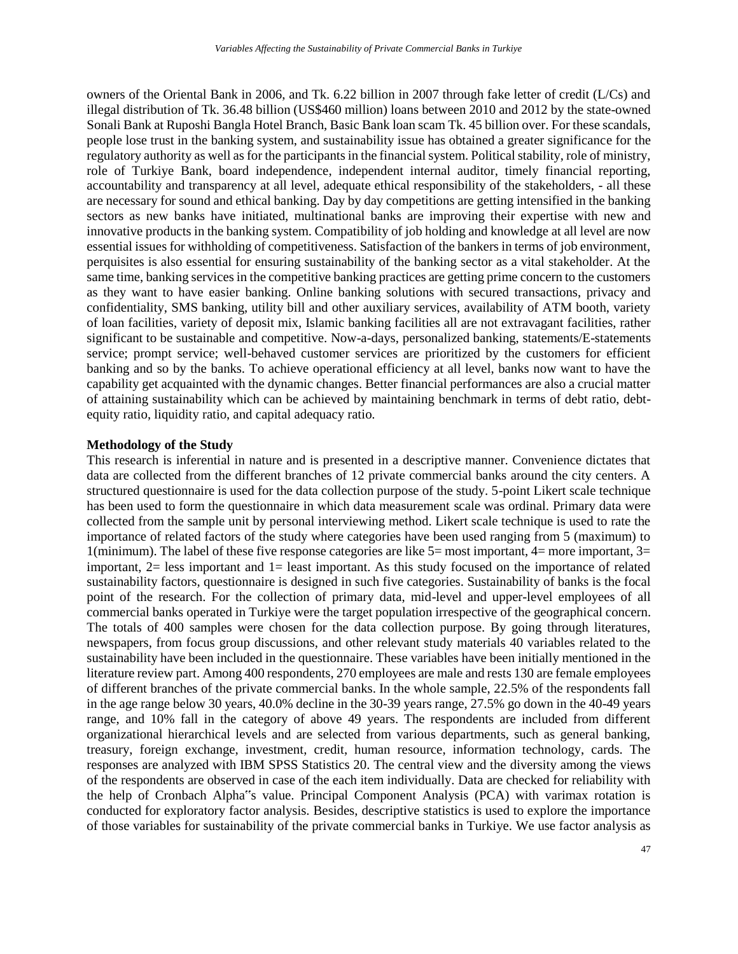owners of the Oriental Bank in 2006, and Tk. 6.22 billion in 2007 through fake letter of credit (L/Cs) and illegal distribution of Tk. 36.48 billion (US\$460 million) loans between 2010 and 2012 by the state-owned Sonali Bank at Ruposhi Bangla Hotel Branch, Basic Bank loan scam Tk. 45 billion over. For these scandals, people lose trust in the banking system, and sustainability issue has obtained a greater significance for the regulatory authority as well as for the participants in the financial system. Political stability, role of ministry, role of Turkiye Bank, board independence, independent internal auditor, timely financial reporting, accountability and transparency at all level, adequate ethical responsibility of the stakeholders, - all these are necessary for sound and ethical banking. Day by day competitions are getting intensified in the banking sectors as new banks have initiated, multinational banks are improving their expertise with new and innovative products in the banking system. Compatibility of job holding and knowledge at all level are now essential issues for withholding of competitiveness. Satisfaction of the bankers in terms of job environment, perquisites is also essential for ensuring sustainability of the banking sector as a vital stakeholder. At the same time, banking services in the competitive banking practices are getting prime concern to the customers as they want to have easier banking. Online banking solutions with secured transactions, privacy and confidentiality, SMS banking, utility bill and other auxiliary services, availability of ATM booth, variety of loan facilities, variety of deposit mix, Islamic banking facilities all are not extravagant facilities, rather significant to be sustainable and competitive. Now-a-days, personalized banking, statements/E-statements service; prompt service; well-behaved customer services are prioritized by the customers for efficient banking and so by the banks. To achieve operational efficiency at all level, banks now want to have the capability get acquainted with the dynamic changes. Better financial performances are also a crucial matter of attaining sustainability which can be achieved by maintaining benchmark in terms of debt ratio, debtequity ratio, liquidity ratio, and capital adequacy ratio.

#### **Methodology of the Study**

This research is inferential in nature and is presented in a descriptive manner. Convenience dictates that data are collected from the different branches of 12 private commercial banks around the city centers. A structured questionnaire is used for the data collection purpose of the study. 5-point Likert scale technique has been used to form the questionnaire in which data measurement scale was ordinal. Primary data were collected from the sample unit by personal interviewing method. Likert scale technique is used to rate the importance of related factors of the study where categories have been used ranging from 5 (maximum) to 1(minimum). The label of these five response categories are like  $5=$  most important,  $4=$  more important,  $3=$ important, 2= less important and 1= least important. As this study focused on the importance of related sustainability factors, questionnaire is designed in such five categories. Sustainability of banks is the focal point of the research. For the collection of primary data, mid-level and upper-level employees of all commercial banks operated in Turkiye were the target population irrespective of the geographical concern. The totals of 400 samples were chosen for the data collection purpose. By going through literatures, newspapers, from focus group discussions, and other relevant study materials 40 variables related to the sustainability have been included in the questionnaire. These variables have been initially mentioned in the literature review part. Among 400 respondents, 270 employees are male and rests 130 are female employees of different branches of the private commercial banks. In the whole sample, 22.5% of the respondents fall in the age range below 30 years, 40.0% decline in the 30-39 years range, 27.5% go down in the 40-49 years range, and 10% fall in the category of above 49 years. The respondents are included from different organizational hierarchical levels and are selected from various departments, such as general banking, treasury, foreign exchange, investment, credit, human resource, information technology, cards. The responses are analyzed with IBM SPSS Statistics 20. The central view and the diversity among the views of the respondents are observed in case of the each item individually. Data are checked for reliability with the help of Cronbach Alpha"s value. Principal Component Analysis (PCA) with varimax rotation is conducted for exploratory factor analysis. Besides, descriptive statistics is used to explore the importance of those variables for sustainability of the private commercial banks in Turkiye. We use factor analysis as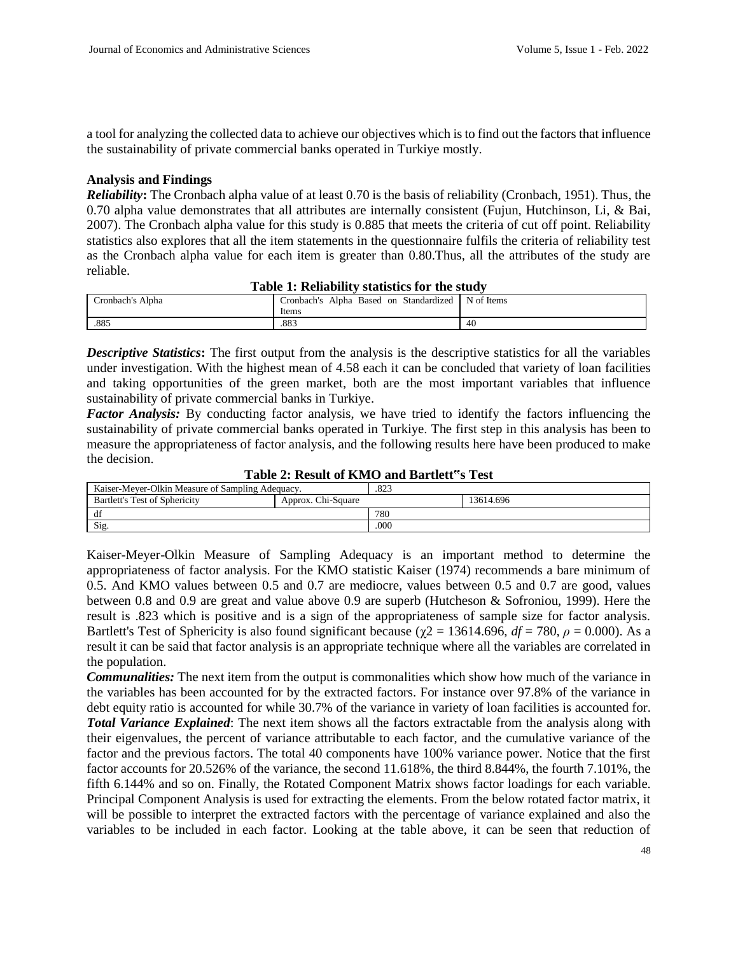a tool for analyzing the collected data to achieve our objectives which is to find out the factors that influence the sustainability of private commercial banks operated in Turkiye mostly.

#### **Analysis and Findings**

*Reliability***:** The Cronbach alpha value of at least 0.70 is the basis of reliability (Cronbach, 1951). Thus, the 0.70 alpha value demonstrates that all attributes are internally consistent (Fujun, Hutchinson, Li, & Bai, 2007). The Cronbach alpha value for this study is 0.885 that meets the criteria of cut off point. Reliability statistics also explores that all the item statements in the questionnaire fulfils the criteria of reliability test as the Cronbach alpha value for each item is greater than 0.80.Thus, all the attributes of the study are reliable.

| Table 1. Reliability statistics for the study |                                        |            |  |  |  |
|-----------------------------------------------|----------------------------------------|------------|--|--|--|
| Cronbach's Alpha                              | Cronbach's Alpha Based on Standardized | N of Items |  |  |  |
|                                               | Items                                  |            |  |  |  |
| .885                                          | .883                                   | 40         |  |  |  |

| Table 1: Reliability statistics for the study |  |  |  |
|-----------------------------------------------|--|--|--|
|-----------------------------------------------|--|--|--|

*Descriptive Statistics***:** The first output from the analysis is the descriptive statistics for all the variables under investigation. With the highest mean of 4.58 each it can be concluded that variety of loan facilities and taking opportunities of the green market, both are the most important variables that influence sustainability of private commercial banks in Turkiye.

*Factor Analysis:* By conducting factor analysis, we have tried to identify the factors influencing the sustainability of private commercial banks operated in Turkiye. The first step in this analysis has been to measure the appropriateness of factor analysis, and the following results here have been produced to make the decision.

|  |  | Table 2: Result of KMO and Bartlett"s Test |  |  |
|--|--|--------------------------------------------|--|--|
|--|--|--------------------------------------------|--|--|

| Kaiser-Mever-Olkin Measure of Sampling Adequacy. |                    | .823 |           |
|--------------------------------------------------|--------------------|------|-----------|
| <b>Bartlett's Test of Sphericity</b>             | Approx. Chi-Square |      | 13614.696 |
| df                                               |                    | 780  |           |
| Sig.                                             |                    | .000 |           |

Kaiser-Meyer-Olkin Measure of Sampling Adequacy is an important method to determine the appropriateness of factor analysis. For the KMO statistic Kaiser (1974) recommends a bare minimum of 0.5. And KMO values between 0.5 and 0.7 are mediocre, values between 0.5 and 0.7 are good, values between 0.8 and 0.9 are great and value above 0.9 are superb (Hutcheson & Sofroniou, 1999). Here the result is .823 which is positive and is a sign of the appropriateness of sample size for factor analysis. Bartlett's Test of Sphericity is also found significant because ( $\gamma$ 2 = 13614.696, *df* = 780, *ρ* = 0.000). As a result it can be said that factor analysis is an appropriate technique where all the variables are correlated in the population.

*Communalities:* The next item from the output is commonalities which show how much of the variance in the variables has been accounted for by the extracted factors. For instance over 97.8% of the variance in debt equity ratio is accounted for while 30.7% of the variance in variety of loan facilities is accounted for. *Total Variance Explained*: The next item shows all the factors extractable from the analysis along with their eigenvalues, the percent of variance attributable to each factor, and the cumulative variance of the factor and the previous factors. The total 40 components have 100% variance power. Notice that the first factor accounts for 20.526% of the variance, the second 11.618%, the third 8.844%, the fourth 7.101%, the fifth 6.144% and so on. Finally, the Rotated Component Matrix shows factor loadings for each variable. Principal Component Analysis is used for extracting the elements. From the below rotated factor matrix, it will be possible to interpret the extracted factors with the percentage of variance explained and also the variables to be included in each factor. Looking at the table above, it can be seen that reduction of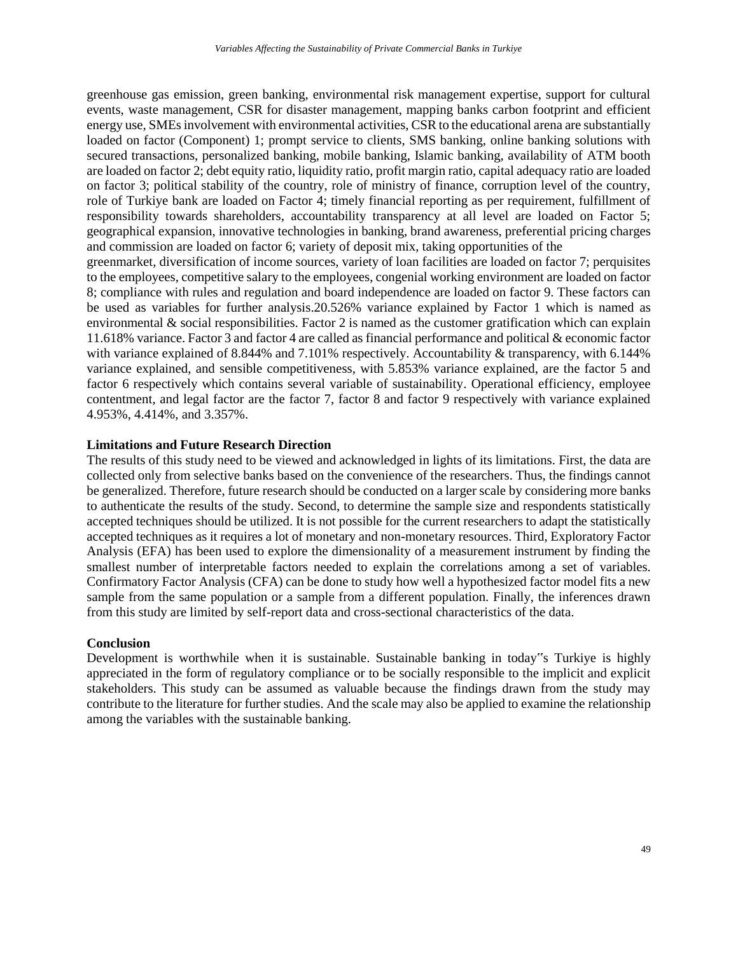greenhouse gas emission, green banking, environmental risk management expertise, support for cultural events, waste management, CSR for disaster management, mapping banks carbon footprint and efficient energy use, SMEs involvement with environmental activities, CSR to the educational arena are substantially loaded on factor (Component) 1; prompt service to clients, SMS banking, online banking solutions with secured transactions, personalized banking, mobile banking, Islamic banking, availability of ATM booth are loaded on factor 2; debt equity ratio, liquidity ratio, profit margin ratio, capital adequacy ratio are loaded on factor 3; political stability of the country, role of ministry of finance, corruption level of the country, role of Turkiye bank are loaded on Factor 4; timely financial reporting as per requirement, fulfillment of responsibility towards shareholders, accountability transparency at all level are loaded on Factor 5; geographical expansion, innovative technologies in banking, brand awareness, preferential pricing charges and commission are loaded on factor 6; variety of deposit mix, taking opportunities of the greenmarket, diversification of income sources, variety of loan facilities are loaded on factor 7; perquisites to the employees, competitive salary to the employees, congenial working environment are loaded on factor 8; compliance with rules and regulation and board independence are loaded on factor 9. These factors can be used as variables for further analysis.20.526% variance explained by Factor 1 which is named as environmental & social responsibilities. Factor 2 is named as the customer gratification which can explain 11.618% variance. Factor 3 and factor 4 are called as financial performance and political & economic factor with variance explained of 8.844% and 7.101% respectively. Accountability & transparency, with 6.144% variance explained, and sensible competitiveness, with 5.853% variance explained, are the factor 5 and factor 6 respectively which contains several variable of sustainability. Operational efficiency, employee contentment, and legal factor are the factor 7, factor 8 and factor 9 respectively with variance explained

# **Limitations and Future Research Direction**

4.953%, 4.414%, and 3.357%.

The results of this study need to be viewed and acknowledged in lights of its limitations. First, the data are collected only from selective banks based on the convenience of the researchers. Thus, the findings cannot be generalized. Therefore, future research should be conducted on a larger scale by considering more banks to authenticate the results of the study. Second, to determine the sample size and respondents statistically accepted techniques should be utilized. It is not possible for the current researchers to adapt the statistically accepted techniques as it requires a lot of monetary and non-monetary resources. Third, Exploratory Factor Analysis (EFA) has been used to explore the dimensionality of a measurement instrument by finding the smallest number of interpretable factors needed to explain the correlations among a set of variables. Confirmatory Factor Analysis (CFA) can be done to study how well a hypothesized factor model fits a new sample from the same population or a sample from a different population. Finally, the inferences drawn from this study are limited by self-report data and cross-sectional characteristics of the data.

#### **Conclusion**

Development is worthwhile when it is sustainable. Sustainable banking in today"s Turkiye is highly appreciated in the form of regulatory compliance or to be socially responsible to the implicit and explicit stakeholders. This study can be assumed as valuable because the findings drawn from the study may contribute to the literature for further studies. And the scale may also be applied to examine the relationship among the variables with the sustainable banking.